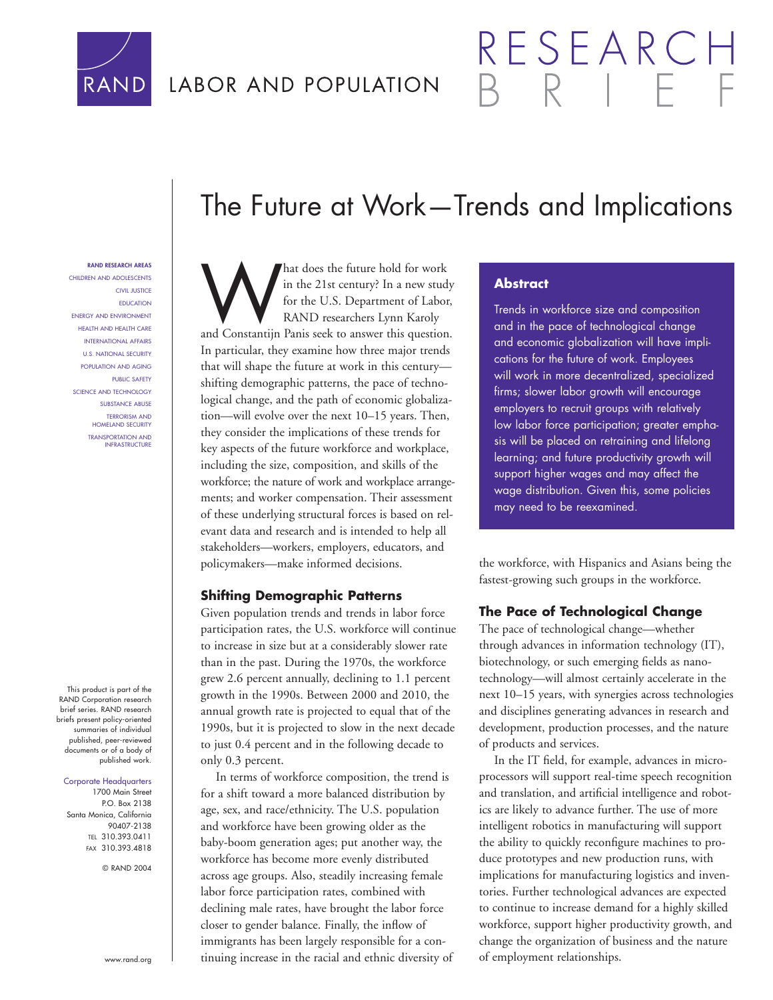

## LABOR AND POPULATION

# The Future at Work—Trends and Implications

**RAND RESEARCH AREAS** CHILDREN AND ADOLESCENTS

CIVIL JUSTICE EDUCATION ENERGY AND ENVIRONMENT HEALTH AND HEALTH CARE INTERNATIONAL AFFAIRS U.S. NATIONAL SECURITY POPULATION AND AGING PUBLIC SAFETY SCIENCE AND TECHNOLOGY SUBSTANCE ABUSE TERRORISM AND HOMELAND SECURITY TRANSPORTATION AND INFRASTRUCTURE

This product is part of the RAND Corporation research brief series. RAND research briefs present policy-oriented summaries of individual published, peer-reviewed documents or of a body of published work.

#### Corporate Headquarters

1700 Main Street P.O. Box 2138 Santa Monica, California 90407-2138 TEL 310.393.0411 FAX 310.393.4818

© RAND 2004

And does the future hold for work<br>
in the 21st century? In a new study<br>
for the U.S. Department of Labor,<br>
RAND researchers Lynn Karoly<br>
and Constantijn Panis seek to answer this question. in the 21st century? In a new study for the U.S. Department of Labor, RAND researchers Lynn Karoly In particular, they examine how three major trends that will shape the future at work in this century shifting demographic patterns, the pace of technological change, and the path of economic globalization—will evolve over the next 10–15 years. Then, they consider the implications of these trends for key aspects of the future workforce and workplace, including the size, composition, and skills of the workforce; the nature of work and workplace arrangements; and worker compensation. Their assessment of these underlying structural forces is based on relevant data and research and is intended to help all stakeholders—workers, employers, educators, and policymakers—make informed decisions.

#### **Shifting Demographic Patterns**

Given population trends and trends in labor force participation rates, the U.S. workforce will continue to increase in size but at a considerably slower rate than in the past. During the 1970s, the workforce grew 2.6 percent annually, declining to 1.1 percent growth in the 1990s. Between 2000 and 2010, the annual growth rate is projected to equal that of the 1990s, but it is projected to slow in the next decade to just 0.4 percent and in the following decade to only 0.3 percent.

In terms of workforce composition, the trend is for a shift toward a more balanced distribution by age, sex, and race/ethnicity. The U.S. population and workforce have been growing older as the baby-boom generation ages; put another way, the workforce has become more evenly distributed across age groups. Also, steadily increasing female labor force participation rates, combined with declining male rates, have brought the labor force closer to gender balance. Finally, the inflow of immigrants has been largely responsible for a continuing increase in the racial and ethnic diversity of

### **Abstract**

Trends in workforce size and composition and in the pace of technological change and economic globalization will have implications for the future of work. Employees will work in more decentralized, specialized firms; slower labor growth will encourage employers to recruit groups with relatively low labor force participation; greater emphasis will be placed on retraining and lifelong learning; and future productivity growth will support higher wages and may affect the wage distribution. Given this, some policies may need to be reexamined.

RESEARC

the workforce, with Hispanics and Asians being the fastest-growing such groups in the workforce.

#### **The Pace of Technological Change**

The pace of technological change—whether through advances in information technology (IT), biotechnology, or such emerging fields as nanotechnology—will almost certainly accelerate in the next 10–15 years, with synergies across technologies and disciplines generating advances in research and development, production processes, and the nature of products and services.

In the IT field, for example, advances in microprocessors will support real-time speech recognition and translation, and artificial intelligence and robotics are likely to advance further. The use of more intelligent robotics in manufacturing will support the ability to quickly reconfigure machines to produce prototypes and new production runs, with implications for manufacturing logistics and inventories. Further technological advances are expected to continue to increase demand for a highly skilled workforce, support higher productivity growth, and change the organization of business and the nature of employment relationships.